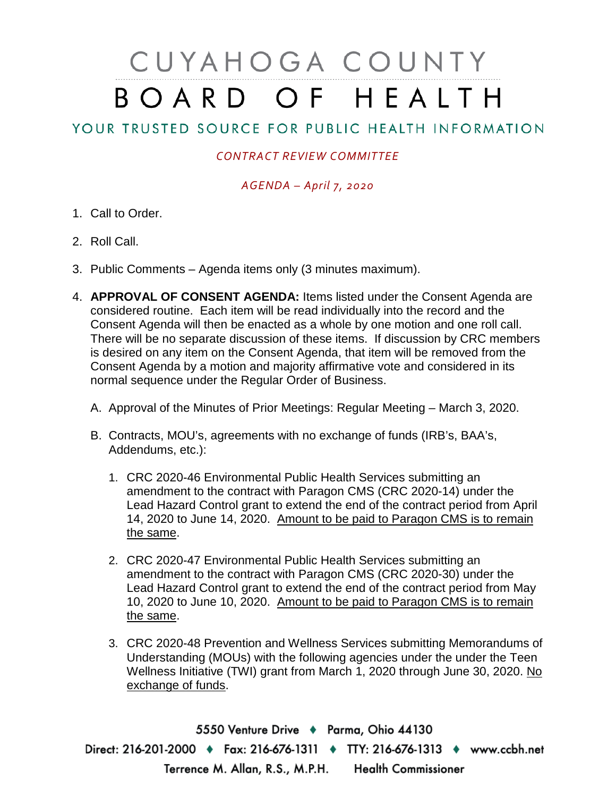# CUYAHOGA COUNTY BOARD OF HEALTH

## YOUR TRUSTED SOURCE FOR PUBLIC HEALTH INFORMATION

### *CONTRACT REVIEW COMMITTEE*

#### *AGENDA – April 7, 2020*

- 1. Call to Order.
- 2. Roll Call.
- 3. Public Comments Agenda items only (3 minutes maximum).
- 4. **APPROVAL OF CONSENT AGENDA:** Items listed under the Consent Agenda are considered routine. Each item will be read individually into the record and the Consent Agenda will then be enacted as a whole by one motion and one roll call. There will be no separate discussion of these items. If discussion by CRC members is desired on any item on the Consent Agenda, that item will be removed from the Consent Agenda by a motion and majority affirmative vote and considered in its normal sequence under the Regular Order of Business.
	- A. Approval of the Minutes of Prior Meetings: Regular Meeting March 3, 2020.
	- B. Contracts, MOU's, agreements with no exchange of funds (IRB's, BAA's, Addendums, etc.):
		- 1. CRC 2020-46 Environmental Public Health Services submitting an amendment to the contract with Paragon CMS (CRC 2020-14) under the Lead Hazard Control grant to extend the end of the contract period from April 14, 2020 to June 14, 2020. Amount to be paid to Paragon CMS is to remain the same.
		- 2. CRC 2020-47 Environmental Public Health Services submitting an amendment to the contract with Paragon CMS (CRC 2020-30) under the Lead Hazard Control grant to extend the end of the contract period from May 10, 2020 to June 10, 2020. Amount to be paid to Paragon CMS is to remain the same.
		- 3. CRC 2020-48 Prevention and Wellness Services submitting Memorandums of Understanding (MOUs) with the following agencies under the under the Teen Wellness Initiative (TWI) grant from March 1, 2020 through June 30, 2020. No exchange of funds.

5550 Venture Drive + Parma, Ohio 44130 Direct: 216-201-2000 • Fax: 216-676-1311 • TTY: 216-676-1313 • www.ccbh.net Terrence M. Allan, R.S., M.P.H. Health Commissioner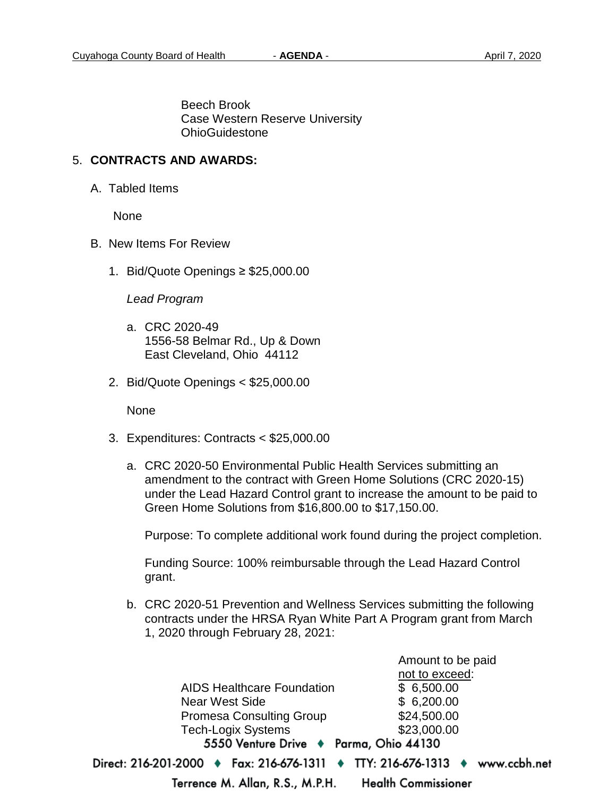Beech Brook Case Western Reserve University OhioGuidestone

#### 5. **CONTRACTS AND AWARDS:**

A. Tabled Items

None

- B. New Items For Review
	- 1. Bid/Quote Openings ≥ \$25,000.00

*Lead Program*

- a. CRC 2020-49 1556-58 Belmar Rd., Up & Down East Cleveland, Ohio 44112
- 2. Bid/Quote Openings < \$25,000.00

None

- 3. Expenditures: Contracts < \$25,000.00
	- a. CRC 2020-50 Environmental Public Health Services submitting an amendment to the contract with Green Home Solutions (CRC 2020-15) under the Lead Hazard Control grant to increase the amount to be paid to Green Home Solutions from \$16,800.00 to \$17,150.00.

Purpose: To complete additional work found during the project completion.

Funding Source: 100% reimbursable through the Lead Hazard Control grant.

b. CRC 2020-51 Prevention and Wellness Services submitting the following contracts under the HRSA Ryan White Part A Program grant from March 1, 2020 through February 28, 2021:

not to exceed: AIDS Healthcare Foundation \$ 6,500.00 Near West Side \$ 6,200.00 Promesa Consulting Group \$24,500.00 Tech-Logix Systems \$23,000.00 5550 Venture Drive + Parma, Ohio 44130 Direct: 216-201-2000 ♦ Fax: 216-676-1311 ♦ TTY: 216-676-1313 ♦ www.ccbh.net

Terrence M. Allan, R.S., M.P.H.

**Health Commissioner** 

Amount to be paid